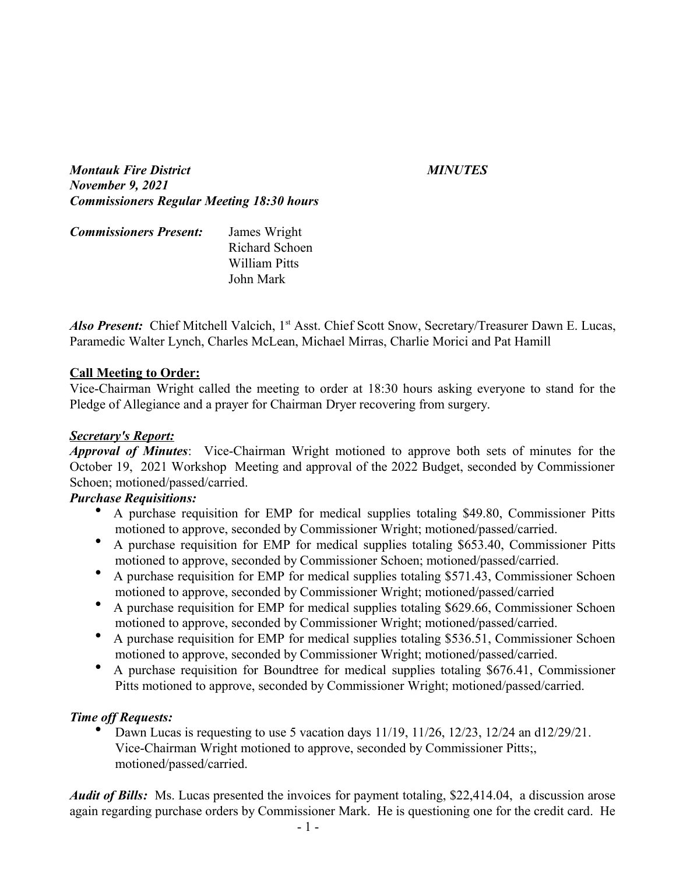*Montauk Fire District MINUTES November 9, 2021 Commissioners Regular Meeting 18:30 hours*

| <b>Commissioners Present:</b> | James Wright   |
|-------------------------------|----------------|
|                               | Richard Schoen |
|                               | William Pitts  |
|                               | John Mark      |

*Also Present:* Chief Mitchell Valcich, 1<sup>st</sup> Asst. Chief Scott Snow, Secretary/Treasurer Dawn E. Lucas, Paramedic Walter Lynch, Charles McLean, Michael Mirras, Charlie Morici and Pat Hamill

#### **Call Meeting to Order:**

Vice-Chairman Wright called the meeting to order at 18:30 hours asking everyone to stand for the Pledge of Allegiance and a prayer for Chairman Dryer recovering from surgery.

#### *Secretary's Report:*

*Approval of Minutes*: Vice-Chairman Wright motioned to approve both sets of minutes for the October 19, 2021 Workshop Meeting and approval of the 2022 Budget, seconded by Commissioner Schoen; motioned/passed/carried.

## *Purchase Requisitions:*

- A purchase requisition for EMP for medical supplies totaling \$49.80, Commissioner Pitts motioned to approve, seconded by Commissioner Wright; motioned/passed/carried.
- A purchase requisition for EMP for medical supplies totaling \$653.40, Commissioner Pitts motioned to approve, seconded by Commissioner Schoen; motioned/passed/carried.
- A purchase requisition for EMP for medical supplies totaling \$571.43, Commissioner Schoen motioned to approve, seconded by Commissioner Wright; motioned/passed/carried
- A purchase requisition for EMP for medical supplies totaling \$629.66, Commissioner Schoen motioned to approve, seconded by Commissioner Wright; motioned/passed/carried.
- A purchase requisition for EMP for medical supplies totaling \$536.51, Commissioner Schoen motioned to approve, seconded by Commissioner Wright; motioned/passed/carried.
- A purchase requisition for Boundtree for medical supplies totaling \$676.41, Commissioner Pitts motioned to approve, seconded by Commissioner Wright; motioned/passed/carried.

## *Time off Requests:*

 Dawn Lucas is requesting to use 5 vacation days 11/19, 11/26, 12/23, 12/24 an d12/29/21. Vice-Chairman Wright motioned to approve, seconded by Commissioner Pitts;, motioned/passed/carried.

*Audit of Bills:* Ms. Lucas presented the invoices for payment totaling, \$22,414.04, a discussion arose again regarding purchase orders by Commissioner Mark. He is questioning one for the credit card. He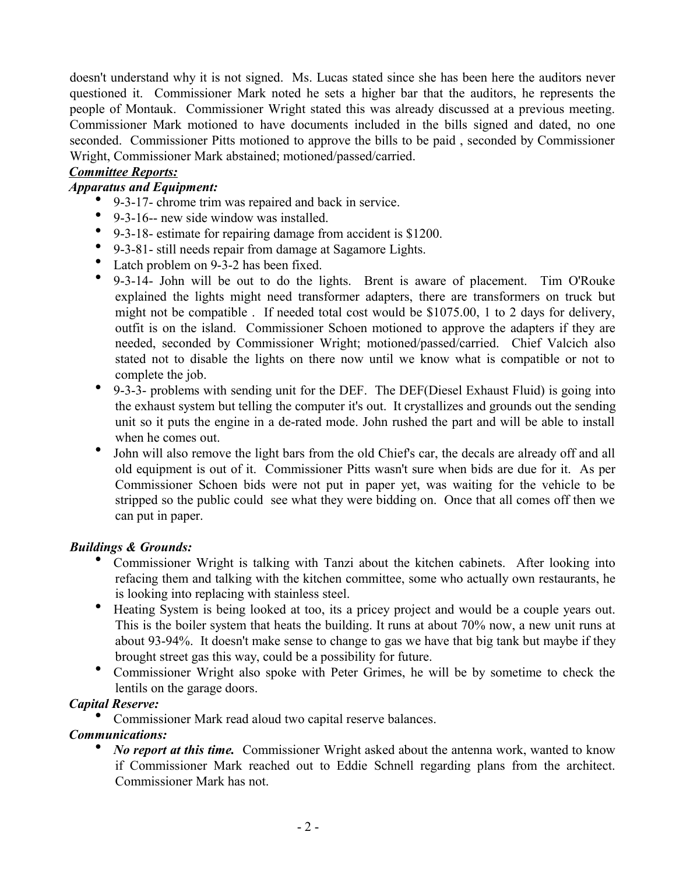doesn't understand why it is not signed. Ms. Lucas stated since she has been here the auditors never questioned it. Commissioner Mark noted he sets a higher bar that the auditors, he represents the people of Montauk. Commissioner Wright stated this was already discussed at a previous meeting. Commissioner Mark motioned to have documents included in the bills signed and dated, no one seconded. Commissioner Pitts motioned to approve the bills to be paid , seconded by Commissioner Wright, Commissioner Mark abstained; motioned/passed/carried.

## *Committee Reports:*

## *Apparatus and Equipment:*

- 9-3-17- chrome trim was repaired and back in service.
- 9-3-16-- new side window was installed.
- 9-3-18- estimate for repairing damage from accident is \$1200.
- 9-3-81- still needs repair from damage at Sagamore Lights.
- Latch problem on 9-3-2 has been fixed.
- 9-3-14- John will be out to do the lights. Brent is aware of placement. Tim O'Rouke explained the lights might need transformer adapters, there are transformers on truck but might not be compatible . If needed total cost would be \$1075.00, 1 to 2 days for delivery, outfit is on the island. Commissioner Schoen motioned to approve the adapters if they are needed, seconded by Commissioner Wright; motioned/passed/carried. Chief Valcich also stated not to disable the lights on there now until we know what is compatible or not to complete the job.
- 9-3-3- problems with sending unit for the DEF. The DEF(Diesel Exhaust Fluid) is going into the exhaust system but telling the computer it's out. It crystallizes and grounds out the sending unit so it puts the engine in a de-rated mode. John rushed the part and will be able to install when he comes out.
- $\bullet$ John will also remove the light bars from the old Chief's car, the decals are already off and all old equipment is out of it. Commissioner Pitts wasn't sure when bids are due for it. As per Commissioner Schoen bids were not put in paper yet, was waiting for the vehicle to be stripped so the public could see what they were bidding on. Once that all comes off then we can put in paper.

## *Buildings & Grounds:*

- Commissioner Wright is talking with Tanzi about the kitchen cabinets. After looking into refacing them and talking with the kitchen committee, some who actually own restaurants, he is looking into replacing with stainless steel.
- Heating System is being looked at too, its a pricey project and would be a couple years out. This is the boiler system that heats the building. It runs at about 70% now, a new unit runs at about 93-94%. It doesn't make sense to change to gas we have that big tank but maybe if they brought street gas this way, could be a possibility for future.
- Commissioner Wright also spoke with Peter Grimes, he will be by sometime to check the lentils on the garage doors.

## *Capital Reserve:*

Commissioner Mark read aloud two capital reserve balances.

## *Communications:*

• *No report at this time.* Commissioner Wright asked about the antenna work, wanted to know if Commissioner Mark reached out to Eddie Schnell regarding plans from the architect. Commissioner Mark has not.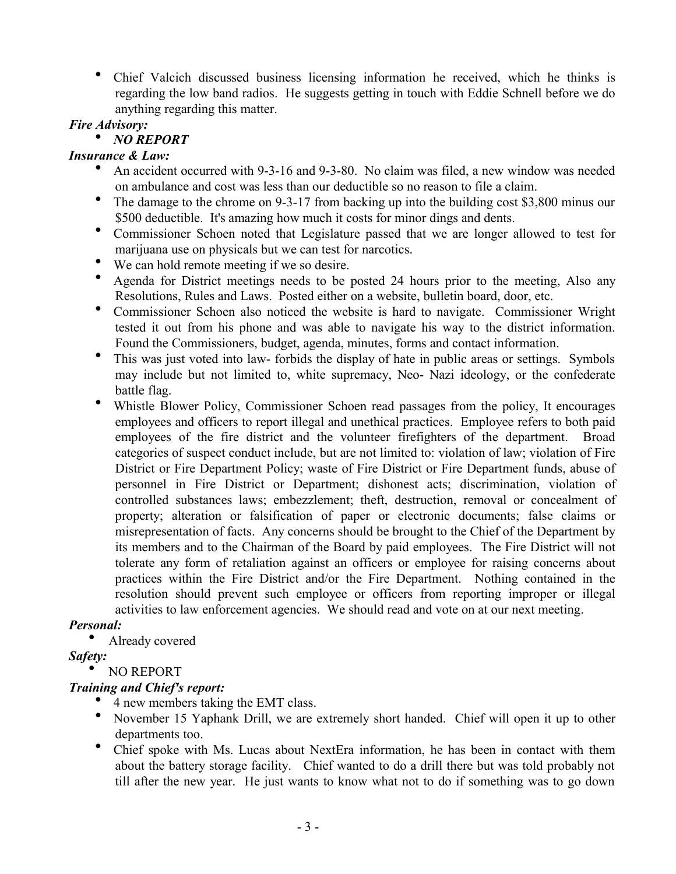Chief Valcich discussed business licensing information he received, which he thinks is regarding the low band radios. He suggests getting in touch with Eddie Schnell before we do anything regarding this matter.

*Fire Advisory:*

# *NO REPORT*

## *Insurance & Law:*

- An accident occurred with 9-3-16 and 9-3-80. No claim was filed, a new window was needed on ambulance and cost was less than our deductible so no reason to file a claim.
- The damage to the chrome on 9-3-17 from backing up into the building cost \$3,800 minus our \$500 deductible. It's amazing how much it costs for minor dings and dents.
- Commissioner Schoen noted that Legislature passed that we are longer allowed to test for marijuana use on physicals but we can test for narcotics.
- We can hold remote meeting if we so desire.
- Agenda for District meetings needs to be posted 24 hours prior to the meeting, Also any Resolutions, Rules and Laws. Posted either on a website, bulletin board, door, etc.
- Commissioner Schoen also noticed the website is hard to navigate. Commissioner Wright tested it out from his phone and was able to navigate his way to the district information. Found the Commissioners, budget, agenda, minutes, forms and contact information.
- This was just voted into law- forbids the display of hate in public areas or settings. Symbols may include but not limited to, white supremacy, Neo- Nazi ideology, or the confederate battle flag.
- Whistle Blower Policy, Commissioner Schoen read passages from the policy, It encourages employees and officers to report illegal and unethical practices. Employee refers to both paid employees of the fire district and the volunteer firefighters of the department. Broad categories of suspect conduct include, but are not limited to: violation of law; violation of Fire District or Fire Department Policy; waste of Fire District or Fire Department funds, abuse of personnel in Fire District or Department; dishonest acts; discrimination, violation of controlled substances laws; embezzlement; theft, destruction, removal or concealment of property; alteration or falsification of paper or electronic documents; false claims or misrepresentation of facts. Any concerns should be brought to the Chief of the Department by its members and to the Chairman of the Board by paid employees. The Fire District will not tolerate any form of retaliation against an officers or employee for raising concerns about practices within the Fire District and/or the Fire Department. Nothing contained in the resolution should prevent such employee or officers from reporting improper or illegal activities to law enforcement agencies. We should read and vote on at our next meeting.

# *Personal:*

Already covered

# *Safety:*

# NO REPORT

# *Training and Chief's report:*

- 4 new members taking the EMT class.
- November 15 Yaphank Drill, we are extremely short handed. Chief will open it up to other departments too.
- Chief spoke with Ms. Lucas about NextEra information, he has been in contact with them about the battery storage facility. Chief wanted to do a drill there but was told probably not till after the new year. He just wants to know what not to do if something was to go down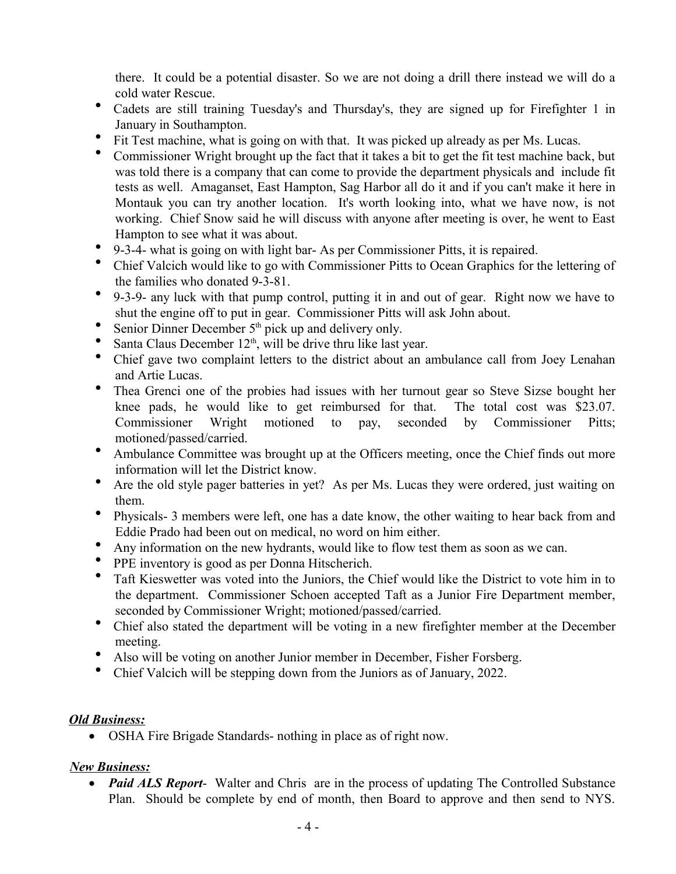there. It could be a potential disaster. So we are not doing a drill there instead we will do a cold water Rescue.

- Cadets are still training Tuesday's and Thursday's, they are signed up for Firefighter 1 in January in Southampton.
- Fit Test machine, what is going on with that. It was picked up already as per Ms. Lucas.
- Commissioner Wright brought up the fact that it takes a bit to get the fit test machine back, but was told there is a company that can come to provide the department physicals and include fit tests as well. Amaganset, East Hampton, Sag Harbor all do it and if you can't make it here in Montauk you can try another location. It's worth looking into, what we have now, is not working. Chief Snow said he will discuss with anyone after meeting is over, he went to East Hampton to see what it was about.
- 9-3-4- what is going on with light bar- As per Commissioner Pitts, it is repaired.
- Chief Valcich would like to go with Commissioner Pitts to Ocean Graphics for the lettering of the families who donated 9-3-81.
- 9-3-9- any luck with that pump control, putting it in and out of gear. Right now we have to shut the engine off to put in gear. Commissioner Pitts will ask John about.
- Senior Dinner December  $5<sup>th</sup>$  pick up and delivery only.
- Santa Claus December  $12<sup>th</sup>$ , will be drive thru like last year.
- Chief gave two complaint letters to the district about an ambulance call from Joey Lenahan and Artie Lucas.
- Thea Grenci one of the probies had issues with her turnout gear so Steve Sizse bought her knee pads, he would like to get reimbursed for that. The total cost was \$23.07. Commissioner Wright motioned to pay, seconded by Commissioner Pitts; motioned/passed/carried.
- Ambulance Committee was brought up at the Officers meeting, once the Chief finds out more information will let the District know.
- Are the old style pager batteries in yet? As per Ms. Lucas they were ordered, just waiting on them.
- Physicals- 3 members were left, one has a date know, the other waiting to hear back from and Eddie Prado had been out on medical, no word on him either.
- Any information on the new hydrants, would like to flow test them as soon as we can.
- PPE inventory is good as per Donna Hitscherich.
- Taft Kieswetter was voted into the Juniors, the Chief would like the District to vote him in to the department. Commissioner Schoen accepted Taft as a Junior Fire Department member, seconded by Commissioner Wright; motioned/passed/carried.
- Chief also stated the department will be voting in a new firefighter member at the December meeting.
- Also will be voting on another Junior member in December, Fisher Forsberg.
- Chief Valcich will be stepping down from the Juniors as of January, 2022.

## *Old Business:*

OSHA Fire Brigade Standards- nothing in place as of right now.

## *New Business:*

 *Paid ALS Report*- Walter and Chris are in the process of updating The Controlled Substance Plan. Should be complete by end of month, then Board to approve and then send to NYS.